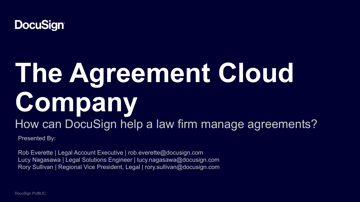

# **The Agreement Cloud Company** How can DocuSign help a law firm manage agreements?

Presented By:

Rob Everette | Legal Account Executive | rob.everette@docusign.com Lucy Nagasawa | Legal Solutions Engineer | lucy.nagasawa@docusign.com Rory Sullivan | Regional Vice President, Legal | rory.sullivan@docusign.com

DocuSign PUBLIC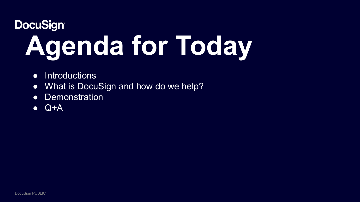# **DocuSign® Agenda for Today**

- Introductions
- What is DocuSign and how do we help?
- Demonstration
- $\bullet$  Q+A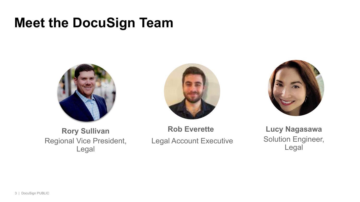# **Meet the DocuSign Team**







**Rory Sullivan**  Regional Vice President, Legal

**Rob Everette** Legal Account Executive

**Lucy Nagasawa** Solution Engineer, Legal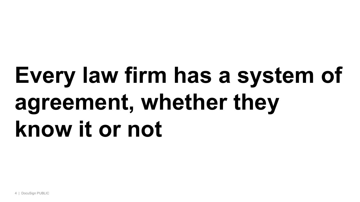# **Every law firm has a system of agreement, whether they know it or not**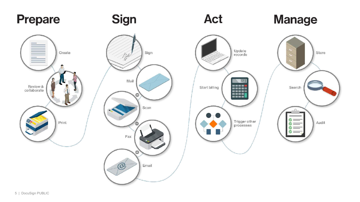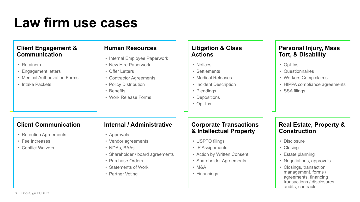# **Law firm use cases**

# **Client Engagement & Communication**

- Retainers
- Engagement letters
- Medical Authorization Forms
- Intake Packets

### **Human Resources**

- Internal Employee Paperwork
- New Hire Paperwork
- Offer Letters
- Contractor Agreements
- Policy Distribution
- Benefits
- Work Release Forms

### **Litigation & Class Actions**

- Notices
- Settlements
- Medical Releases
- Incident Description
- Pleadings
- Depositions
- Opt-Ins

## **Personal Injury, Mass Tort, & Disability**

- Opt-Ins
- Questionnaires
- Workers Comp claims
- HIPPA compliance agreements
- SSA filings

# **Client Communication**

- Retention Agreements
- Fee Increases
- Conflict Waivers

### **Internal / Administrative**

- Approvals
- Vendor agreements
- NDAs, BAAs
- Shareholder / board agreements
- Purchase Orders
- Statements of Work
- Partner Voting

## **Corporate Transactions & Intellectual Property**

- USPTO filings
- IP Assignments
- Action by Written Consent
- Shareholder Agreements
- M&A
- Financings

# **Real Estate, Property & Construction**

- Disclosure
- Closing
- Estate planning
- Negotiations, approvals
- Closings, transaction management, forms / agreements, financing transactions / disclosures, audits, contracts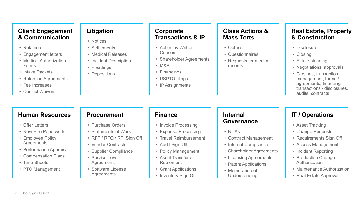## **Client Engagement & Communication**

- Retainers
- Engagement letters
- Medical Authorization Forms
- Intake Packets
- Retention Agreements
- Fee Increases
- Conflict Waivers

# **Litigation**

- Notices
- Settlements
- Medical Releases
- Incident Description
- Pleadings
- Depositions
- 
- Financings
	- USPTO filings • IP Assignments

**Corporate** 

Consent

• M&A

**Transactions & IP**

• Shareholder Agreements

• Action by Written

# **Class Actions & Mass Torts**

- Opt-ins
- Questionnaires
- Requests for medical records

# **Real Estate, Property & Construction**

- Disclosure
- Closing
- Estate planning
- Negotiations, approvals
- Closings, transaction management, forms / agreements, financing transactions / disclosures, audits, contracts

# **Human Resources**

- Offer Letters
- New Hire Paperwork
- Employee Policy **Agreements**
- Performance Appraisal
- Compensation Plans
- Time Sheets
- PTO Management

## **Procurement**

- Purchase Orders
- Statements of Work
- RFP / RFQ / RFI Sign Off
- Vendor Contracts
- Supplier Compliance
- Service Level **Agreements**
- Software License **Agreements**

### **Finance**

- Invoice Processing
- Expense Processing
- Travel Reimbursement
- Audit Sign Off
- Policy Management
- Asset Transfer / Retirement
- Grant Applications
- Inventory Sign Off

# **Internal Governance**

- NDAs
- Contract Management
- Internal Compliance
- Shareholder Agreements
- Licensing Agreements
- Patent Applications
- Memoranda of
	- Understanding

# **IT / Operations**

- Asset Tracking
- Change Requests
- Requirements Sign Off
- Access Management
- Incident Reporting
- Production Change Authorization
- Maintenance Authorization
- Real Estate Approval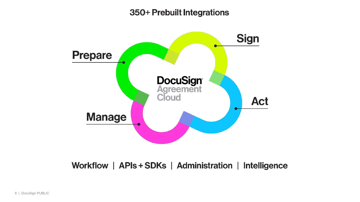# 350+ Prebuilt Integrations



Workflow | APIs + SDKs | Administration | Intelligence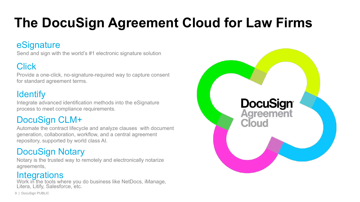# **The DocuSign Agreement Cloud for Law Firms**

# eSignature

Send and sign with the world's #1 electronic signature solution

# **Click**

Provide a one-click, no-signature-required way to capture consent for standard agreement terms.

# **Identify**

Integrate advanced identification methods into the eSignature process to meet compliance requirements.

# DocuSign CLM+

Automate the contract lifecycle and analyze clauses with document generation, collaboration, workflow, and a central agreement repository, supported by world class AI.

# DocuSign Notary

Notary is the trusted way to remotely and electronically notarize agreements,

# **Integrations**

Work in the tools where you do business like NetDocs, iManage, Litera, Litify, Salesforce, etc.

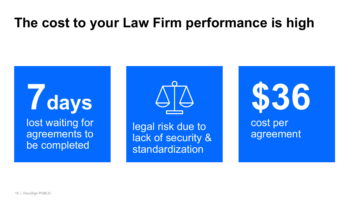# **The cost to your Law Firm performance is high**

**7days** lost waiting for agreements to be completed



legal risk due to lack of security & standardization

**\$36** cost per agreement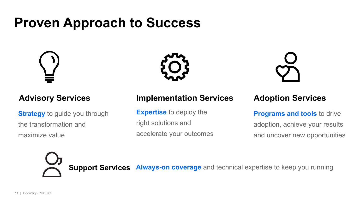# **Proven Approach to Success**



**Strategy** to guide you through the transformation and maximize value





# **Advisory Services Implementation Services Adoption Services**

**Expertise** to deploy the right solutions and accelerate your outcomes

**Programs and tools** to drive adoption, achieve your results and uncover new opportunities



**Support Services Always-on coverage** and technical expertise to keep you running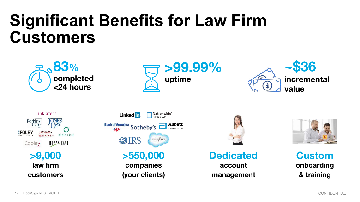# **Significant Benefits for Law Firm Customers**













**Dedicated account management**



**Custom onboarding & training**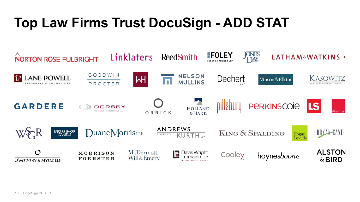# **Top Law Firms Trust DocuSign - ADD STAT**

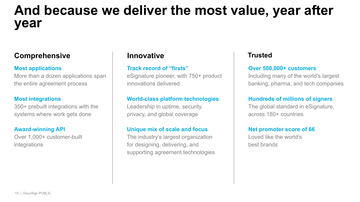# **And because we deliver the most value, year after year**

# **Comprehensive Innovative Trusted**

#### **Most applications**

More than a dozen applications span the entire agreement process

#### **Most integrations**

350+ prebuilt integrations with the systems where work gets done

#### **Award-winning API**

Over 1,000+ customer-built integrations

#### **Track record of "firsts"**

eSignature pioneer, with 750+ product innovations delivered

### **World-class platform technologies**

Leadership in uptime, security, privacy, and global coverage

### **Unique mix of scale and focus**

The industry's largest organization for designing, delivering, and supporting agreement technologies

#### **Over 500,000+ customers**

Including many of the world's largest banking, pharma, and tech companies

#### **Hundreds of millions of signers**

The global standard in eSignature, across 180+ countries

#### **Net promoter score of 66**

Loved like the world's best brands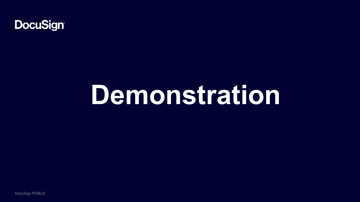

# **Demonstration**

DocuSign PUBLIC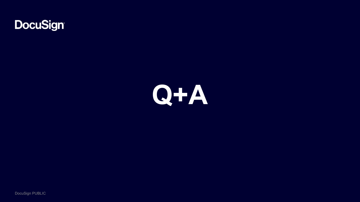



DocuSign PUBLIC